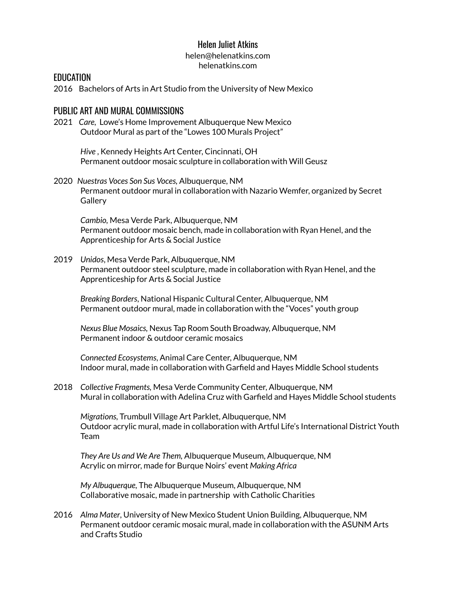## Helen Juliet Atkins

#### helen@helenatkins.com helenatkins.com

### EDUCATION

2016 Bachelors of Arts in Art Studio from the University of New Mexico

## PUBLIC ART AND MURAL COMMISSIONS

2021 *Care,* Lowe's Home Improvement Albuquerque New Mexico Outdoor Mural as part of the "Lowes 100 Murals Project"

> *Hive* , Kennedy Heights Art Center, Cincinnati, OH Permanent outdoor mosaic sculpture in collaboration with Will Geusz

2020 *Nuestras Voces Son Sus Voces,* Albuquerque, NM Permanent outdoor mural in collaboration with Nazario Wemfer, organized by Secret **Gallery** 

*Cambio,* Mesa Verde Park, Albuquerque, NM Permanent outdoor mosaic bench, made in collaboration with Ryan Henel, and the Apprenticeship for Arts & Social Justice

2019 *Unidos*, Mesa Verde Park, Albuquerque, NM Permanent outdoor steel sculpture, made in collaboration with Ryan Henel, and the Apprenticeship for Arts & Social Justice

*Breaking Borders*, National Hispanic Cultural Center, Albuquerque, NM Permanent outdoor mural, made in collaboration with the "Voces" youth group

*Nexus Blue Mosaics,* Nexus Tap Room South Broadway, Albuquerque, NM Permanent indoor & outdoor ceramic mosaics

*Connected Ecosystems*, Animal Care Center, Albuquerque, NM Indoor mural, made in collaboration with Garfield and Hayes Middle School students

2018 *Collective Fragments,* Mesa Verde Community Center, Albuquerque, NM Mural in collaboration with Adelina Cruz with Garfield and Hayes Middle School students

*Migrations,* Trumbull Village Art Parklet, Albuquerque, NM Outdoor acrylic mural, made in collaboration with Artful Life's International District Youth Team

*They Are Us and We Are Them,* Albuquerque Museum, Albuquerque, NM Acrylic on mirror, made for Burque Noirs' event *Making Africa*

*My Albuquerque,* The Albuquerque Museum, Albuquerque, NM Collaborative mosaic, made in partnership with Catholic Charities

2016 *Alma Mater*, University of New Mexico Student Union Building, Albuquerque, NM Permanent outdoor ceramic mosaic mural, made in collaboration with the ASUNM Arts and Crafts Studio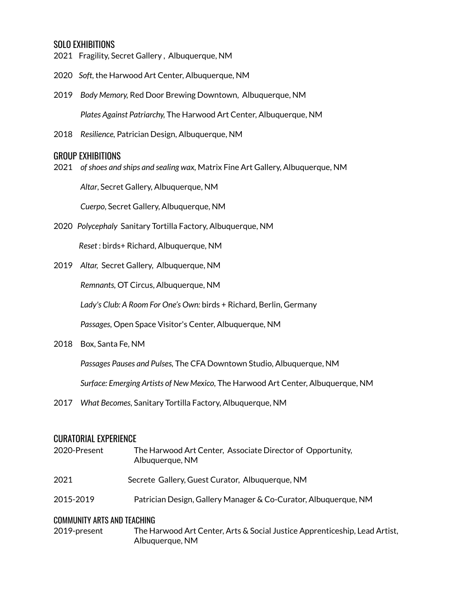# SOLO EXHIBITIONS

- 2021 Fragility, Secret Gallery , Albuquerque, NM
- 2020 *Soft,* the Harwood Art Center, Albuquerque, NM
- 2019 *Body Memory,* Red Door Brewing Downtown, Albuquerque, NM *Plates Against Patriarchy,* The Harwood Art Center, Albuquerque, NM
- 2018 *Resilience,* Patrician Design, Albuquerque, NM

## GROUP EXHIBITIONS

2021 *ofshoes and ships and sealing wax,* Matrix Fine Art Gallery, Albuquerque, NM

*Altar*, Secret Gallery, Albuquerque, NM

*Cuerpo*, Secret Gallery, Albuquerque, NM

2020 *Polycephaly* Sanitary Tortilla Factory, Albuquerque, NM

*Reset* : birds+ Richard, Albuquerque, NM

2019 *Altar,* Secret Gallery, Albuquerque, NM

*Remnants,* OT Circus, Albuquerque, NM

*Lady's Club: A Room For One's Own:* birds + Richard, Berlin, Germany

*Passages,* Open Space Visitor's Center, Albuquerque, NM

2018 Box, Santa Fe, NM

*Passages Pauses and Pulses,* The CFA Downtown Studio, Albuquerque, NM

*Surface: Emerging Artists of New Mexico,* The Harwood Art Center, Albuquerque, NM

2017 *What Becomes,* Sanitary Tortilla Factory, Albuquerque, NM

## CURATORIAL EXPERIENCE

| 2020-Present                | The Harwood Art Center, Associate Director of Opportunity,<br>Albuquerque, NM |
|-----------------------------|-------------------------------------------------------------------------------|
| 2021                        | Secrete Gallery, Guest Curator, Albuquerque, NM                               |
| 2015-2019                   | Patrician Design, Gallery Manager & Co-Curator, Albuquerque, NM               |
| COMMUNITY ARTS AND TEACHING |                                                                               |

2019-present The Harwood Art Center, Arts & Social Justice Apprenticeship, Lead Artist, Albuquerque, NM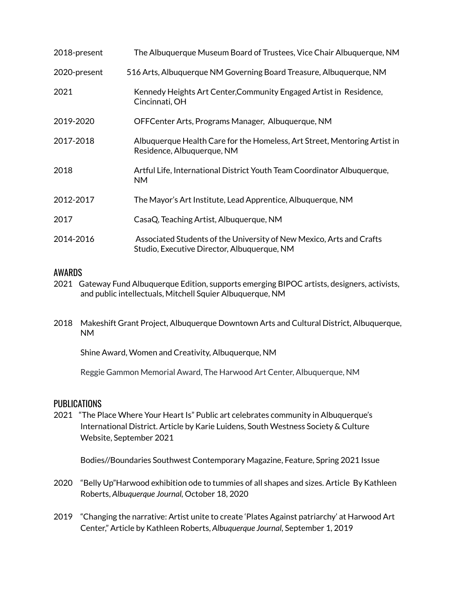| 2018-present | The Albuquerque Museum Board of Trustees, Vice Chair Albuquerque, NM                                                |
|--------------|---------------------------------------------------------------------------------------------------------------------|
| 2020-present | 516 Arts, Albuquerque NM Governing Board Treasure, Albuquerque, NM                                                  |
| 2021         | Kennedy Heights Art Center, Community Engaged Artist in Residence,<br>Cincinnati, OH                                |
| 2019-2020    | OFFCenter Arts, Programs Manager, Albuquerque, NM                                                                   |
| 2017-2018    | Albuquerque Health Care for the Homeless, Art Street, Mentoring Artist in<br>Residence, Albuquerque, NM             |
| 2018         | Artful Life, International District Youth Team Coordinator Albuquerque,<br><b>NM</b>                                |
| 2012-2017    | The Mayor's Art Institute, Lead Apprentice, Albuquerque, NM                                                         |
| 2017         | CasaQ, Teaching Artist, Albuquerque, NM                                                                             |
| 2014-2016    | Associated Students of the University of New Mexico, Arts and Crafts<br>Studio, Executive Director, Albuquerque, NM |

# AWARDS

- 2021 Gateway Fund Albuquerque Edition, supports emerging BIPOC artists, designers, activists, and public intellectuals, Mitchell Squier Albuquerque, NM
- 2018 Makeshift Grant Project, Albuquerque Downtown Arts and Cultural District, Albuquerque, NM

Shine Award, Women and Creativity, Albuquerque, NM

Reggie Gammon Memorial Award, The Harwood Art Center, Albuquerque, NM

## PUBLICATIONS

2021 "The Place Where Your Heart Is" Public art celebrates community in Albuquerque's International District. Article by Karie Luidens, South Westness Society & Culture Website, September 2021

Bodies//Boundaries Southwest Contemporary Magazine, Feature, Spring 2021 Issue

- 2020 "Belly Up"Harwood exhibition ode to tummies of all shapes and sizes. Article By Kathleen Roberts, *Albuquerque Journal,* October 18, 2020
- 2019 "Changing the narrative: Artist unite to create 'Plates Against patriarchy' at Harwood Art Center," Article by Kathleen Roberts, *Albuquerque Journal,* September 1, 2019